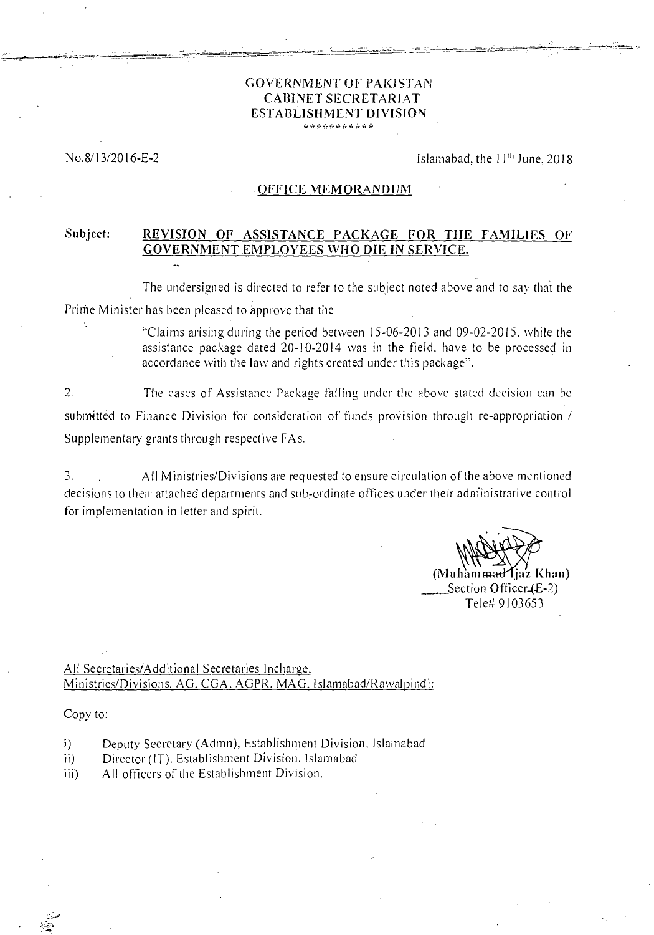#### GOVERNMENT OF PAKISTAN CABINET SECRETARIAT ESTABLISHMENT DIVISION \*\*\*\*\*\*\*\*\*\*

## No.8/13/2016-E-2 Islamabad, the 11<sup>th</sup> June, 2018

### • OFFICE MEMORANDUM

# Subject: REVISION OF ASSISTANCE PACKAGE FOR THE FAMILIES OF GOVERNMENT EMPLOYEES WHO DIE IN SERVICE.

The undersigned is directed to refer to the subject noted above and to say that the Prime Minister has been pleased to approve that the

> "Claims arising during the period between 15-06-2013 and 09-02-2015, while the assistance package dated 20-10-2014 was in the field, have to be processed in accordance with the law and rights created under this package".

2. The cases of Assistance Package falling under the above stated decision can be submitted to Finance Division for consideration of funds provision through re-appropriation / Supplementary grants through respective FAs.

3. All Ministries/Divisions are requested to ensure circulation of the above mentioned decisions to their attached departments and sub-ordinate offices under their administrative control for implementation in letter and spirit.

 $(Muhann$ ad liaz Khan) Section Officer $(E-2)$ Tele# 9103653

All Secretaries/Additional Secretaries Incharge, Ministries/Divisions, AG. CGA. AGPR. MAG. Islamabad/Rawalpindi:

Copy to:

 $\mathcal{L}(\mathcal{D})$ 

- i) Deputy Secretary (Admn), Establishment Division, Islamabad
- ii) Director (IT). Establishment Division. Islamabad
- iii) All officers of the Establishment Division.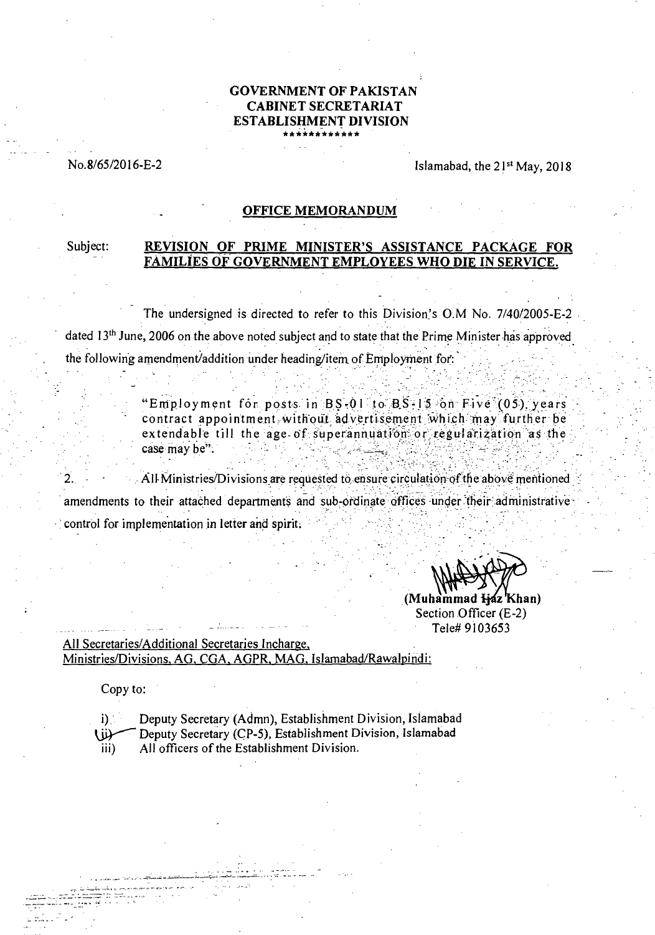### **GOVERNMENT OF PAKISTAN CABINET SECRETARIAT ESTABLISHMENT DIVISION \*\*\*i\*\*\*\*\*\*\*\***

No.8/65/2016-E-2 Islamabad, the 21" May, 2018

#### **OFFICE MEMORANDUM**

### Subject: **REVISION OF PRIME MINISTER'S ASSISTANCE PACKAGE FOR FAMILIES OF GOVERNMENT EMPLOYEES WHO DIE IN SERVICE.**

The undersigned is directed to refer to this Division's 0.M No. 7/40/2005-E-2 dated 13<sup>th</sup> June, 2006 on the above noted subject and to state that the Prime Minister has approved the following amendment/addition under heading/item. of Employment *for* 

> "Employment for posts in  $BS-01$  to  $BS-15$  on Five (05), years contract appointment without advertisement which may further be extendable till the age- of superannuation or regularization as the case may be". extendable till the age of superannuation or regularization as the case may be".<br>All Ministries/Divisions are requested to ensure circulation of the above mentioned

amendments to their attached departments and sub-ordinate offices under their administrative control for implementation in letter and spirit.  $\mathcal{D}$ 

**(Muhammad Haz** Khan) Section Officer (E-2) Tele# 9103653

## All Secretaries/Additional Secretaries Incharge, Ministries/Divisions, AG, CGA, AGPR, MAG, Islamabad/Rawalpindi:

'

Copy to:

i) Deputy Secretary (Admn), Establishment Division, Islamabad Deputy Secretary (CP-5), Establishment Division, Islamabad (ü) iii) All officers of the Establishment Division.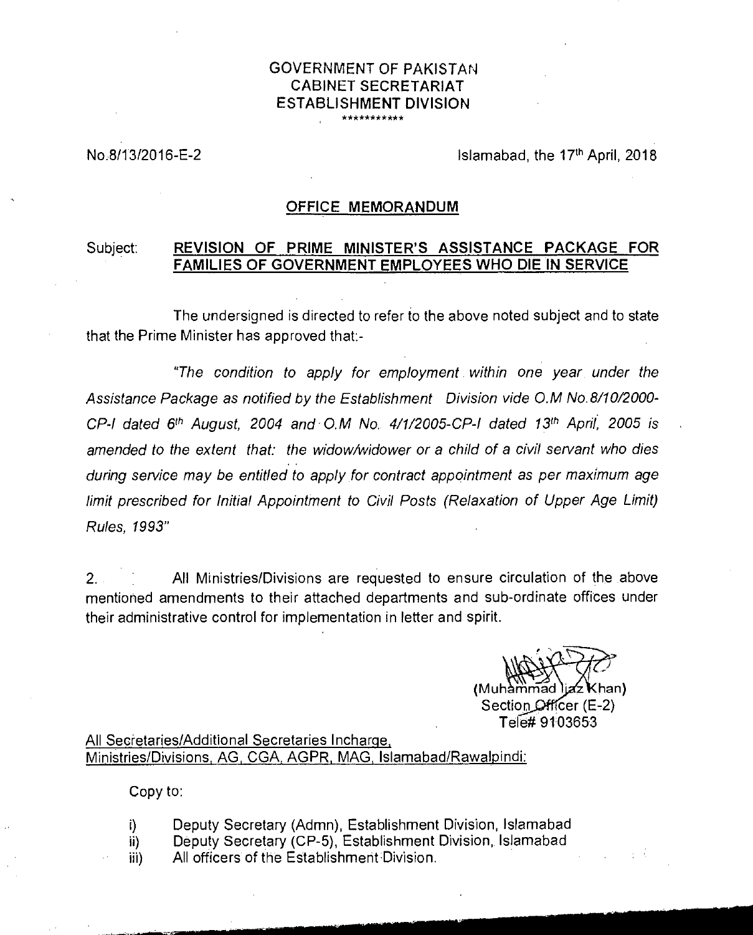#### GOVERNMENT OF PAKISTAN CABINET SECRETARIAT ESTABLISHMENT DIVISION \*\*\*\*\*\*\*\*\*

# No.8/13/2016-E-2 Islamabad, the 17<sup>th</sup> April, 2018

#### OFFICE MEMORANDUM

## Subject: **REVISION OF PRIME MINISTER'S ASSISTANCE PACKAGE FOR FAMILIES OF GOVERNMENT EMPLOYEES WHO DIE IN SERVICE**

The undersigned is directed to refer to the above noted subject and to state that the Prime Minister has approved that:-

*"The condition to apply for employment within one year under the Assistance Package as notified by the Establishment Division vide 0.M No.8/10/2000- CP-I dated 6<sup>th</sup> August, 2004 and O.M No. 4/1/2005-CP-I dated 13<sup>th</sup> April, 2005 is amended to the extent that: the widow/widower or a child of a civil servant who dies during service may be entitled to apply for contract appointment as per maximum age limit prescribed for Initial Appointment to Civil Posts (Relaxation of Upper Age Limit) Rules, 1993"* 

2. All Ministries/Divisions are requested to ensure circulation of the above mentioned amendments to their attached departments and sub-ordinate offices under their administrative control for implementation in letter and spirit.

 $(Muh\ddot{a}\dddot{m}\ddot{m}\ddot{a})$  Muham) Section Officer (E-2) Tele# 9103653

All Secretaries/Additional Secretaries Incharqe, Ministries/Divisions, AG, CGA, AG PR, MAG, Islamabad/Rawalpindi:

Copy to:

- i) Deputy Secretary (Admn), Establishment Division, Islamabad
- ii) Deputy Secretary (CP-5), Establishment Division, Islamabad

iii) All officers of the Establishment Division.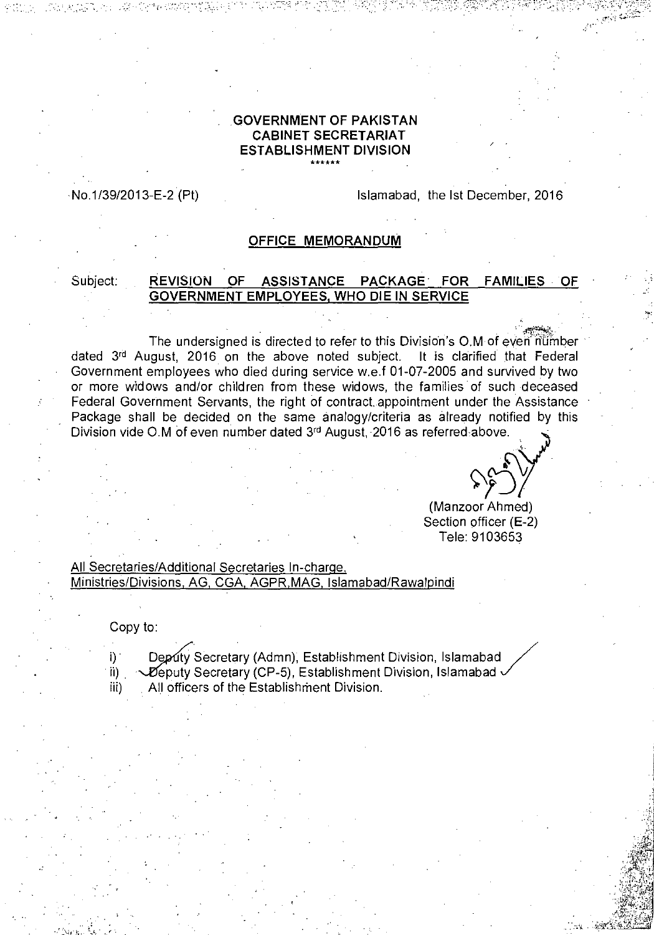# **GOVERNMENT OF PAKISTAN CABINET SECRETARIAT ESTABLISHMENT DIVISION**

No. 1/39/2013-E-2 (Pt) Islamabad, the Ist December, 2016

# **OFFICE MEMORANDUM**

# Subject: **REVISION OF ASSISTANCE PACKAGE FOR FAMILIES OF GOVERNMENT EMPLOYEES, WHO DIE IN SERVICE**

The undersigned is directed to refer to this Division's O.M of even number dated 3<sup>rd</sup> August, 2016 on the above noted subject. It is clarified that Federal Government employees who died during service w.e.f 01-07-2005 and survived by two or more widows and/or children from these widows, the families of such deceased Federal Government Servants, the right Of contract, appointment under the Assistance Package shall be decided on the same analogy/criteria as already notified by this Division vide O.M of even number dated 3<sup>rd</sup> August, -2016 as referred, above.

(Manzoor Ahmed) Section officer (E-2) Tele: 9103653

All Secretaries/Additional Secretaries In-charoe, Ministries/Divisions, AG, CGA, AGPR, MAG, Islamabad/Rawalpindi

Copy to:

i) Deputy Secretary (Admn), Establishment Division, Islamabad ii) • **Example 2** Establishment Division, Islamabad • Given the Secretary (CF-5), Establishment Division, Islamabad iii) All officers of the Establishment Division.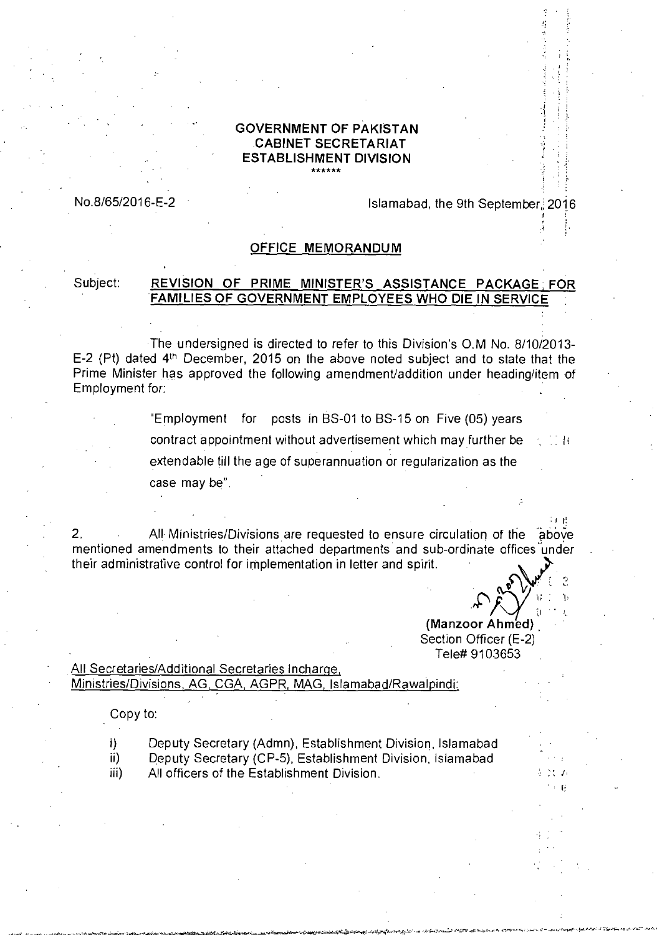# **GOVERNMENT OF PAKISTAN CABINET SECRETARIAT ESTABLISHMENT DIVISION**

No.8/65/2016-E-2 **Islamabad, the 9th September** 2016

#### **OFFICE MEMORANDUM**

# Subject: **REVISION OF PRIME MINISTER'S ASSISTANCE PACKAGE FOR FAMILIES OF GOVERNMENT EMPLOYEES WHO DIE IN SERVICE**

The undersigned is directed to refer to this Division's 0.M No. 8/10/2013- E-2 (Pt) dated 4th December, 2015 on the above noted subject and to state that the Prime Minister has approved the following amendment/addition under heading/item of Employment for:

> "Employment for posts in BS-01 to BS-15 on Five (05) years contract appointment without advertisement which may further be  $\Box$ extendable till the age of superannuation or regularization as the case may be".

2. All Ministries/Divisions are requested to ensure circulation of the above mentioned amendments to their attached departments and sub-ordinate offices under their administrative control for implementation in letter and spirit.

> **(Manzoor Ahmed)**  Section Officer (E-2) Tele# 9103653

i•

All Secretaries/Additional Secretaries Incharqe, Ministries/Divisions, AG, CGA, AGPR, MAG, Islamabad/Rawalpindi:

Copy to:

i) Deputy Secretary (Admn), Establishment Division, Islamabad ii) Deputy Secretary (CP-5), Establishment Division, Islamabad<br>iii) All officers of the Establishment Division. All officers of the Establishment Division.